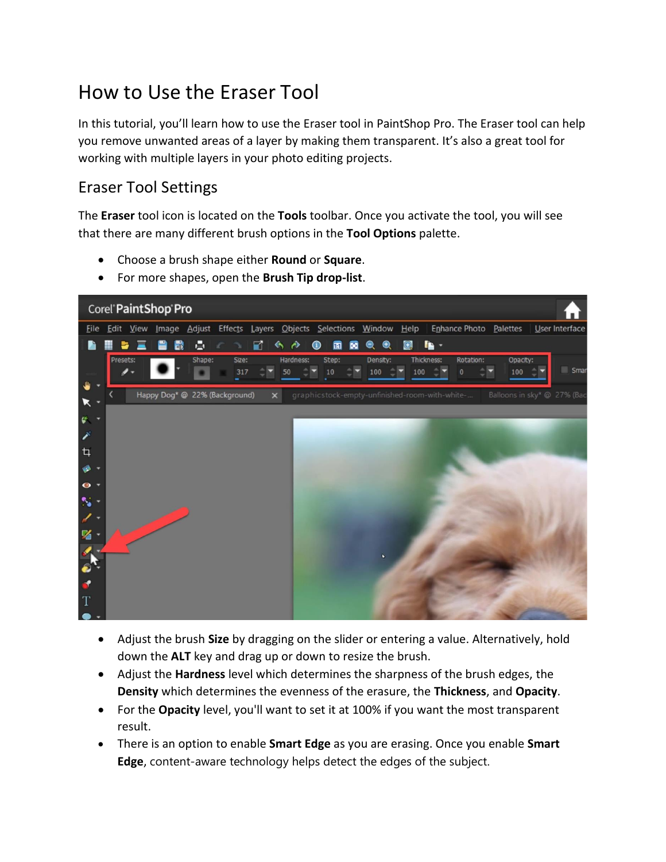# How to Use the Eraser Tool

In this tutorial, you'll learn how to use the Eraser tool in PaintShop Pro. The Eraser tool can help you remove unwanted areas of a layer by making them transparent. It's also a great tool for working with multiple layers in your photo editing projects.

### Eraser Tool Settings

The **Eraser** tool icon is located on the **Tools** toolbar. Once you activate the tool, you will see that there are many different brush options in the **Tool Options** palette.

- Choose a brush shape either **Round** or **Square**.
- For more shapes, open the **Brush Tip drop-list**.



- Adjust the brush **Size** by dragging on the slider or entering a value. Alternatively, hold down the **ALT** key and drag up or down to resize the brush.
- Adjust the **Hardness** level which determines the sharpness of the brush edges, the **Density** which determines the evenness of the erasure, the **Thickness**, and **Opacity**.
- For the **Opacity** level, you'll want to set it at 100% if you want the most transparent result.
- There is an option to enable **Smart Edge** as you are erasing. Once you enable **Smart Edge**, content-aware technology helps detect the edges of the subject.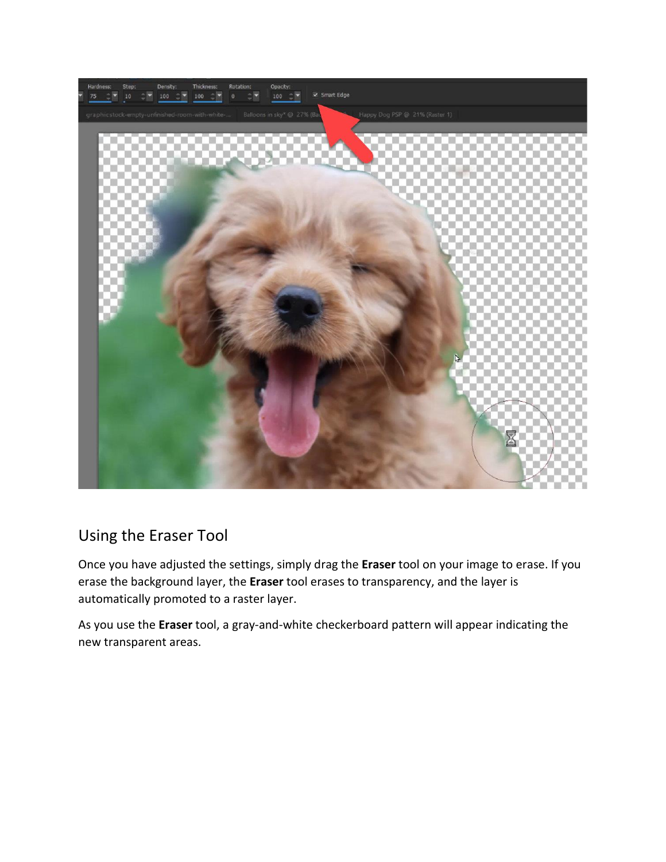

## Using the Eraser Tool

Once you have adjusted the settings, simply drag the **Eraser** tool on your image to erase. If you erase the background layer, the **Eraser** tool erases to transparency, and the layer is automatically promoted to a raster layer.

As you use the **Eraser** tool, a gray-and-white checkerboard pattern will appear indicating the new transparent areas.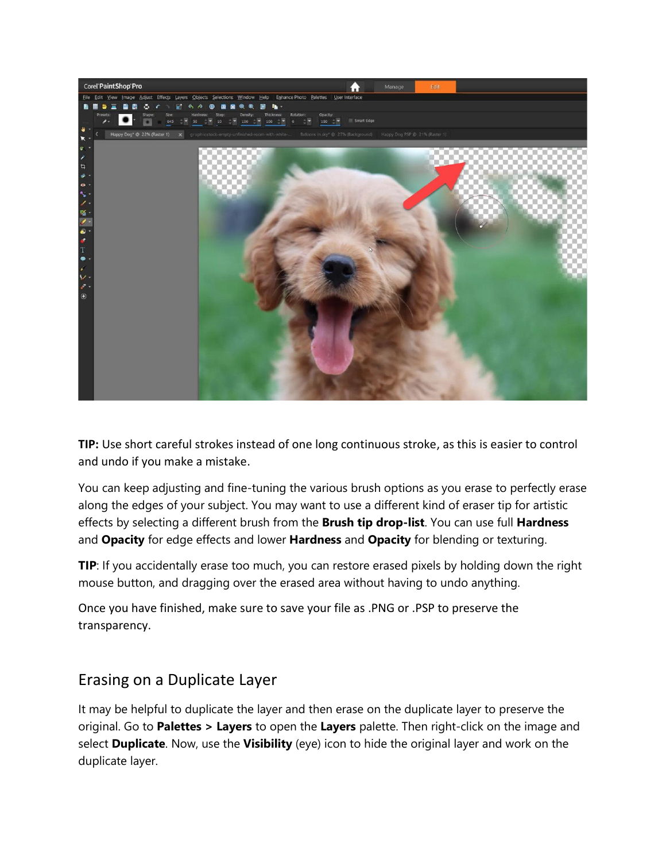

**TIP:** Use short careful strokes instead of one long continuous stroke, as this is easier to control and undo if you make a mistake.

You can keep adjusting and fine-tuning the various brush options as you erase to perfectly erase along the edges of your subject. You may want to use a different kind of eraser tip for artistic effects by selecting a different brush from the **Brush tip drop-list**. You can use full **Hardness** and **Opacity** for edge effects and lower **Hardness** and **Opacity** for blending or texturing.

**TIP**: If you accidentally erase too much, you can restore erased pixels by holding down the right mouse button, and dragging over the erased area without having to undo anything.

Once you have finished, make sure to save your file as .PNG or .PSP to preserve the transparency.

#### Erasing on a Duplicate Layer

It may be helpful to duplicate the layer and then erase on the duplicate layer to preserve the original. Go to **Palettes > Layers** to open the **Layers** palette. Then right-click on the image and select **Duplicate**. Now, use the **Visibility** (eye) icon to hide the original layer and work on the duplicate layer.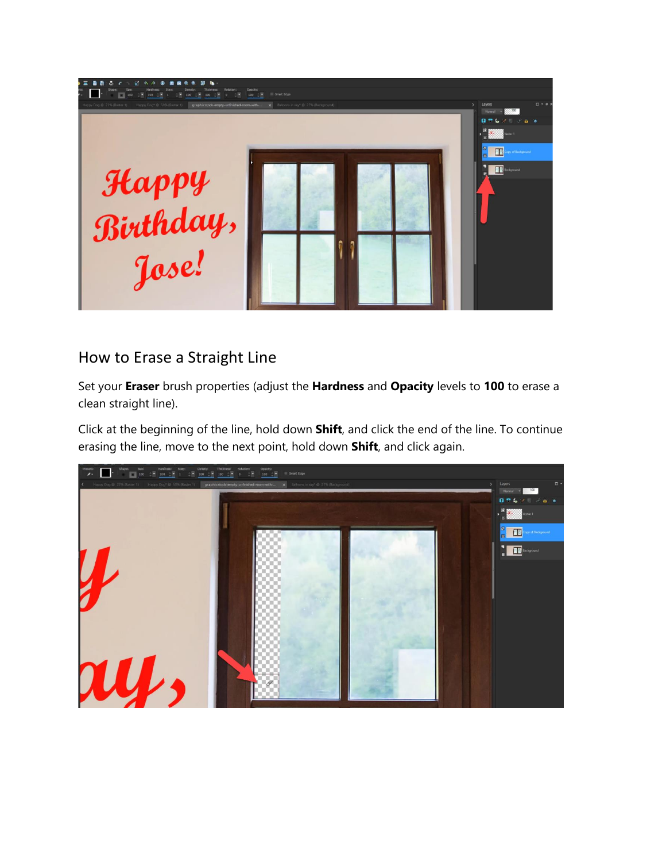

#### How to Erase a Straight Line

Set your **Eraser** brush properties (adjust the **Hardness** and **Opacity** levels to **100** to erase a clean straight line).

Click at the beginning of the line, hold down **Shift**, and click the end of the line. To continue erasing the line, move to the next point, hold down **Shift**, and click again.

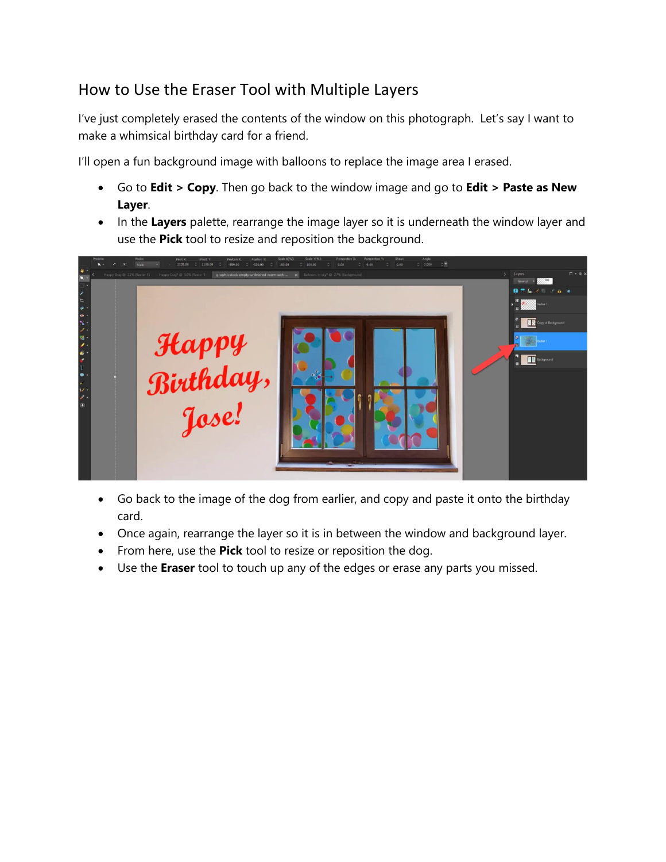## How to Use the Eraser Tool with Multiple Layers

I've just completely erased the contents of the window on this photograph. Let's say I want to make a whimsical birthday card for a friend.

I'll open a fun background image with balloons to replace the image area I erased.

- Go to **Edit > Copy**. Then go back to the window image and go to **Edit > Paste as New Layer**.
- In the **Layers** palette, rearrange the image layer so it is underneath the window layer and use the **Pick** tool to resize and reposition the background.



- Go back to the image of the dog from earlier, and copy and paste it onto the birthday card.
- Once again, rearrange the layer so it is in between the window and background layer.
- From here, use the **Pick** tool to resize or reposition the dog.
- Use the **Eraser** tool to touch up any of the edges or erase any parts you missed.